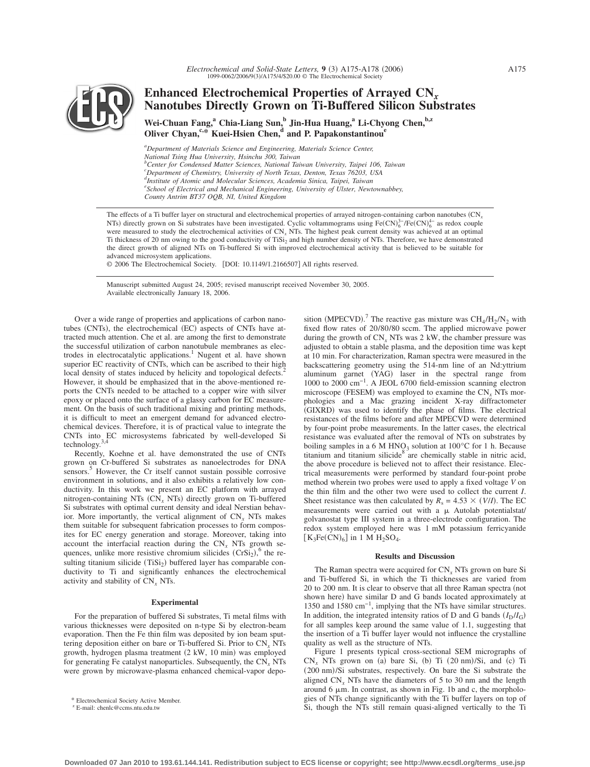

# **Enhanced Electrochemical Properties of Arrayed CN***<sup>x</sup>* **Nanotubes Directly Grown on Ti-Buffered Silicon Substrates**

Wei-Chuan Fang,<sup>a</sup> Chia-Liang Sun,<sup>b</sup> Jin-Hua Huang,<sup>a</sup> Li-Chyong Chen,<sup>b,z</sup> **Oliver Chyan,<sup>c,\*</sup> Kuei-Hsien Chen,<sup>d</sup> and P. Papakonstantinou<sup>e</sup>** 

*a Department of Materials Science and Engineering, Materials Science Center, National Tsing Hua University, Hsinchu 300, Taiwan b Center for Condensed Matter Sciences, National Taiwan University, Taipei 106, Taiwan c Department of Chemistry, University of North Texas, Denton, Texas 76203, USA d Institute of Atomic and Molecular Sciences, Academia Sinica, Taipei, Taiwan e School of Electrical and Mechanical Engineering, University of Ulster, Newtownabbey, County Antrim BT37 OQB, NI, United Kingdom*

The effects of a Ti buffer layer on structural and electrochemical properties of arrayed nitrogen-containing carbon nanotubes CN*<sup>x</sup>* NTs) directly grown on Si substrates have been investigated. Cyclic voltammograms using  $Fe(CN)_6^{3-}/Fe(CN)_6^{4-}$  as redox couple were measured to study the electrochemical activities of CN*<sup>x</sup>* NTs. The highest peak current density was achieved at an optimal Ti thickness of 20 nm owing to the good conductivity of TiSi<sub>2</sub> and high number density of NTs. Therefore, we have demonstrated the direct growth of aligned NTs on Ti-buffered Si with improved electrochemical activity that is believed to be suitable for advanced microsystem applications.

© 2006 The Electrochemical Society. [DOI: 10.1149/1.2166507] All rights reserved.

Manuscript submitted August 24, 2005; revised manuscript received November 30, 2005. Available electronically January 18, 2006.

Over a wide range of properties and applications of carbon nanotubes (CNTs), the electrochemical (EC) aspects of CNTs have attracted much attention. Che et al. are among the first to demonstrate the successful utilization of carbon nanotubule membranes as electrodes in electrocatalytic applications.<sup>1</sup> Nugent et al. have shown superior EC reactivity of CNTs, which can be ascribed to their high local density of states induced by helicity and topological defects.<sup>2</sup> However, it should be emphasized that in the above-mentioned reports the CNTs needed to be attached to a copper wire with silver epoxy or placed onto the surface of a glassy carbon for EC measurement. On the basis of such traditional mixing and printing methods, it is difficult to meet an emergent demand for advanced electrochemical devices. Therefore, it is of practical value to integrate the CNTs into EC microsystems fabricated by well-developed Si technology.3,4

Recently, Koehne et al. have demonstrated the use of CNTs grown on Cr-buffered Si substrates as nanoelectrodes for DNA sensors.<sup>3</sup> However, the Cr itself cannot sustain possible corrosive environment in solutions, and it also exhibits a relatively low conductivity. In this work we present an EC platform with arrayed nitrogen-containing NTs (CN<sub>x</sub> NTs) directly grown on Ti-buffered Si substrates with optimal current density and ideal Nerstian behavior. More importantly, the vertical alignment of CN*<sup>x</sup>* NTs makes them suitable for subsequent fabrication processes to form composites for EC energy generation and storage. Moreover, taking into account the interfacial reaction during the  $CN_x$  NTs growth sequences, unlike more resistive chromium silicides  $(CrSi<sub>2</sub>)$ <sup>6</sup>, the resulting titanium silicide  $(TiSi<sub>2</sub>)$  buffered layer has comparable conductivity to Ti and significantly enhances the electrochemical activity and stability of CN*<sup>x</sup>* NTs.

#### **Experimental**

For the preparation of buffered Si substrates, Ti metal films with various thicknesses were deposited on n-type Si by electron-beam evaporation. Then the Fe thin film was deposited by ion beam sputtering deposition either on bare or Ti-buffered Si. Prior to CN*<sup>x</sup>* NTs growth, hydrogen plasma treatment (2 kW, 10 min) was employed for generating Fe catalyst nanoparticles. Subsequently, the CN*<sup>x</sup>* NTs were grown by microwave-plasma enhanced chemical-vapor depo-

sition (MPECVD).<sup>7</sup> The reactive gas mixture was  $\text{CH}_4/\text{H}_2/\text{N}_2$  with fixed flow rates of 20/80/80 sccm. The applied microwave power during the growth of  $CN_r$  NTs was 2 kW, the chamber pressure was adjusted to obtain a stable plasma, and the deposition time was kept at 10 min. For characterization, Raman spectra were measured in the backscattering geometry using the 514-nm line of an Nd:yttrium aluminum garnet (YAG) laser in the spectral range from 1000 to 2000 cm−1. A JEOL 6700 field-emission scanning electron microscope (FESEM) was employed to examine the  $CN_x$  NTs morphologies and a Mac grazing incident X-ray diffractometer (GIXRD) was used to identify the phase of films. The electrical resistances of the films before and after MPECVD were determined by four-point probe measurements. In the latter cases, the electrical resistance was evaluated after the removal of NTs on substrates by boiling samples in a 6 M HNO<sub>3</sub> solution at 100 $^{\circ}$ C for 1 h. Because titanium and titanium silicide $8^8$  are chemically stable in nitric acid, the above procedure is believed not to affect their resistance. Electrical measurements were performed by standard four-point probe method wherein two probes were used to apply a fixed voltage *V* on the thin film and the other two were used to collect the current *I*. Sheet resistance was then calculated by  $R_s = 4.53 \times (V/I)$ . The EC measurements were carried out with a  $\mu$  Autolab potentialstat/ golvanostat type III system in a three-electrode configuration. The redox system employed here was 1 mM potassium ferricyanide  $[K_3Fe(CN)_6]$  in 1 M H<sub>2</sub>SO<sub>4</sub>.

#### **Results and Discussion**

The Raman spectra were acquired for CN*<sup>x</sup>* NTs grown on bare Si and Ti-buffered Si, in which the Ti thicknesses are varied from 20 to 200 nm. It is clear to observe that all three Raman spectra (not shown here) have similar D and G bands located approximately at 1350 and 1580 cm−1, implying that the NTs have similar structures. In addition, the integrated intensity ratios of D and G bands  $(I_D/I_G)$ for all samples keep around the same value of 1.1, suggesting that the insertion of a Ti buffer layer would not influence the crystalline quality as well as the structure of NTs.

Figure 1 presents typical cross-sectional SEM micrographs of  $CN_x$  NTs grown on (a) bare Si, (b) Ti  $(20 \text{ nm})/Si$ , and (c) Ti (200 nm)/Si substrates, respectively. On bare the Si substrate the aligned  $CN_r$  NTs have the diameters of 5 to 30 nm and the length around  $6 \mu m$ . In contrast, as shown in Fig. 1b and c, the morphologies of NTs change significantly with the Ti buffer layers on top of Electrochemical Society Active Member.<br>E-mail: chenlc@ccms.ntu.edu.tw<br>E-mail: chenlc@ccms.ntu.edu.tw<br>Si, though the NTs still remain quasi-aligned vertically to the Ti

 $Z$  E-mail: chenlc@ccms.ntu.edu.tw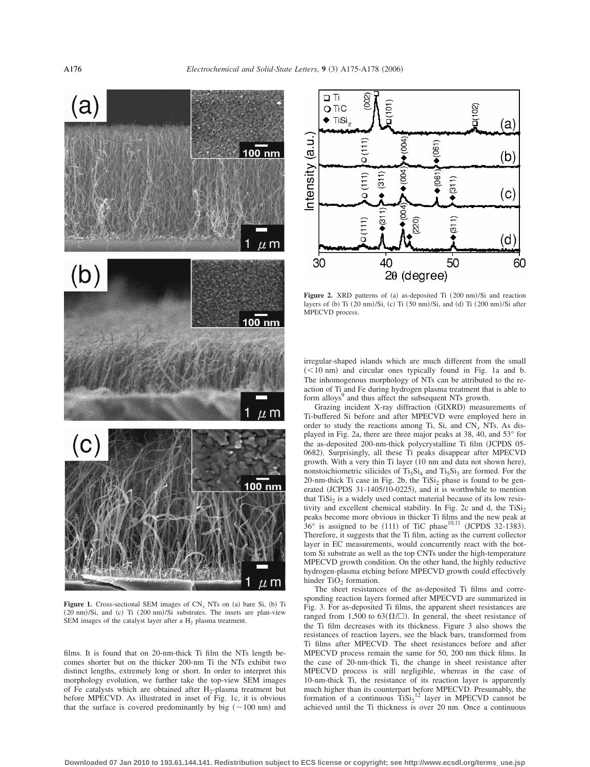

**Figure 1.** Cross-sectional SEM images of  $CN_x$  NTs on (a) bare Si, (b) Ti (20 nm)/Si, and (c) Ti (200 nm)/Si substrates. The insets are plan-view SEM images of the catalyst layer after a H<sub>2</sub> plasma treatment.

films. It is found that on 20-nm-thick Ti film the NTs length becomes shorter but on the thicker 200-nm Ti the NTs exhibit two distinct lengths, extremely long or short. In order to interpret this morphology evolution, we further take the top-view SEM images of Fe catalysts which are obtained after  $H_2$ -plasma treatment but before MPECVD. As illustrated in inset of Fig. 1c, it is obvious that the surface is covered predominantly by big  $(-100 \text{ nm})$  and



Figure 2. XRD patterns of (a) as-deposited Ti (200 nm)/Si and reaction layers of (b) Ti  $(20 \text{ nm})/Si$ , (c) Ti  $(50 \text{ nm})/Si$ , and (d) Ti  $(200 \text{ nm})/Si$  after MPECVD process.

irregular-shaped islands which are much different from the small  $(< 10$  nm) and circular ones typically found in Fig. 1a and b. The inhomogenous morphology of NTs can be attributed to the reaction of Ti and Fe during hydrogen plasma treatment that is able to form alloys<sup>9</sup> and thus affect the subsequent NTs growth.

Grazing incident X-ray diffraction (GIXRD) measurements of Ti-buffered Si before and after MPECVD were employed here in order to study the reactions among Ti, Si, and  $CN_x$  NTs. As displayed in Fig. 2a, there are three major peaks at 38, 40, and 53° for the as-deposited 200-nm-thick polycrystalline Ti film (JCPDS 05-0682). Surprisingly, all these Ti peaks disappear after MPECVD growth. With a very thin Ti layer (10 nm and data not shown here), nonstoichiometric silicides of  $Ti<sub>5</sub>Si<sub>4</sub>$  and  $Ti<sub>5</sub>Si<sub>3</sub>$  are formed. For the 20-nm-thick Ti case in Fig. 2b, the  $TiSi<sub>2</sub>$  phase is found to be generated (JCPDS 31-1405/10-0225), and it is worthwhile to mention that  $TiSi<sub>2</sub>$  is a widely used contact material because of its low resistivity and excellent chemical stability. In Fig. 2c and d, the  $TiSi<sub>2</sub>$ peaks become more obvious in thicker Ti films and the new peak at  $36^\circ$  is assigned to be (111) of TiC phase<sup>10,11</sup> (JCPDS 32-1383). Therefore, it suggests that the Ti film, acting as the current collector layer in EC measurements, would concurrently react with the bottom Si substrate as well as the top CNTs under the high-temperature MPECVD growth condition. On the other hand, the highly reductive hydrogen-plasma etching before MPECVD growth could effectively hinder  $TiO<sub>2</sub>$  formation.

The sheet resistances of the as-deposited Ti films and corresponding reaction layers formed after MPECVD are summarized in Fig. 3. For as-deposited Ti films, the apparent sheet resistances are ranged from 1,500 to 63 $(\Omega/\square)$ . In general, the sheet resistance of the Ti film decreases with its thickness. Figure 3 also shows the resistances of reaction layers, see the black bars, transformed from Ti films after MPECVD. The sheet resistances before and after MPECVD process remain the same for 50, 200 nm thick films. In the case of 20-nm-thick Ti, the change in sheet resistance after MPECVD process is still negligible, whereas in the case of 10-nm-thick Ti, the resistance of its reaction layer is apparently much higher than its counterpart before MPECVD. Presumably, the formation of a continuous  $\text{TiSi}_2^{12}$  layer in MPECVD cannot be achieved until the Ti thickness is over 20 nm. Once a continuous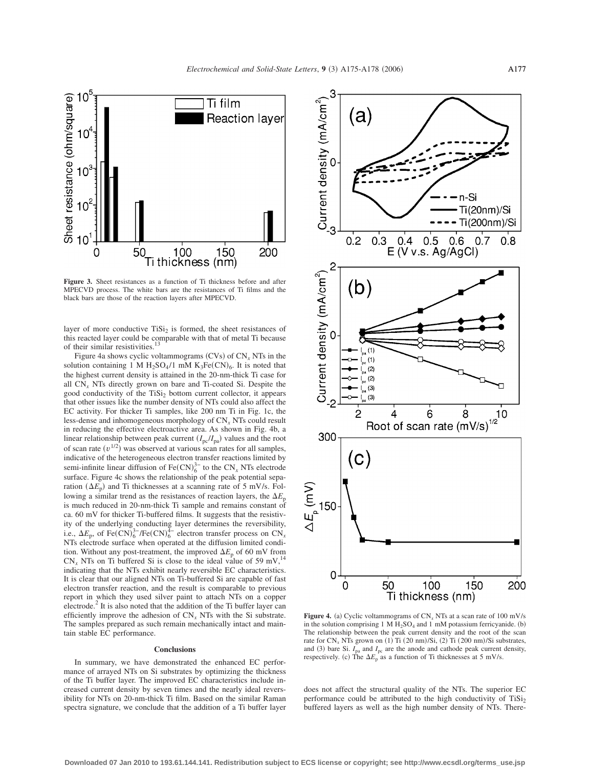

**Figure 3.** Sheet resistances as a function of Ti thickness before and after MPECVD process. The white bars are the resistances of Ti films and the black bars are those of the reaction layers after MPECVD.

layer of more conductive  $TiSi<sub>2</sub>$  is formed, the sheet resistances of this reacted layer could be comparable with that of metal Ti because of their similar resistivities.<sup>13</sup>

Figure 4a shows cyclic voltammograms  $(CVs)$  of  $CN_x NTs$  in the solution containing 1 M  $H_2SO_4/1$  mM  $K_3Fe(CN)_6$ . It is noted that the highest current density is attained in the 20-nm-thick Ti case for all CN*<sup>x</sup>* NTs directly grown on bare and Ti-coated Si. Despite the good conductivity of the  $TiSi<sub>2</sub>$  bottom current collector, it appears that other issues like the number density of NTs could also affect the EC activity. For thicker Ti samples, like 200 nm Ti in Fig. 1c, the less-dense and inhomogeneous morphology of CN*<sup>x</sup>* NTs could result in reducing the effective electroactive area. As shown in Fig. 4b, a linear relationship between peak current  $(I_{pc}/I_{pa})$  values and the root of scan rate  $(v^{1/2})$  was observed at various scan rates for all samples, indicative of the heterogeneous electron transfer reactions limited by semi-infinite linear diffusion of  $\text{Fe(CN)}_6^{3-}$  to the CN<sub>*x*</sub> NTs electrode surface. Figure 4c shows the relationship of the peak potential separation  $(\Delta E_p)$  and Ti thicknesses at a scanning rate of 5 mV/s. Following a similar trend as the resistances of reaction layers, the  $\Delta E_p$ is much reduced in 20-nm-thick Ti sample and remains constant of ca. 60 mV for thicker Ti-buffered films. It suggests that the resistivity of the underlying conducting layer determines the reversibility, i.e.,  $\Delta E_{\rm p}$ , of Fe(CN)<sup>3–</sup>/Fe(CN)<sup>4–</sup> electron transfer process on CN<sub>x</sub> NTs electrode surface when operated at the diffusion limited condition. Without any post-treatment, the improved  $\Delta E_p$  of 60 mV from  $CN_x$  NTs on Ti buffered Si is close to the ideal value of 59 mV,<sup>14</sup> indicating that the NTs exhibit nearly reversible EC characteristics. It is clear that our aligned NTs on Ti-buffered Si are capable of fast electron transfer reaction, and the result is comparable to previous report in which they used silver paint to attach NTs on a copper electrode.<sup>2</sup> It is also noted that the addition of the Ti buffer layer can efficiently improve the adhesion of  $CN<sub>x</sub> NTs$  with the Si substrate. The samples prepared as such remain mechanically intact and maintain stable EC performance.

## **Conclusions**

In summary, we have demonstrated the enhanced EC performance of arrayed NTs on Si substrates by optimizing the thickness of the Ti buffer layer. The improved EC characteristics include increased current density by seven times and the nearly ideal reversibility for NTs on 20-nm-thick Ti film. Based on the similar Raman spectra signature, we conclude that the addition of a Ti buffer layer



**Figure 4.** (a) Cyclic voltammograms of  $CN_x NTs$  at a scan rate of 100 mV/s in the solution comprising 1 M  $H_2SO_4$  and 1 mM potassium ferricyanide. (b) The relationship between the peak current density and the root of the scan rate for  $CN_x$  NTs grown on (1) Ti (20 nm)/Si, (2) Ti (200 nm)/Si substrates, and (3) bare Si.  $I_{pa}$  and  $I_{pc}$  are the anode and cathode peak current density, respectively. (c) The  $\Delta E_{\rm p}$  as a function of Ti thicknesses at 5 mV/s.

does not affect the structural quality of the NTs. The superior EC performance could be attributed to the high conductivity of  $TiSi<sub>2</sub>$ buffered layers as well as the high number density of NTs. There